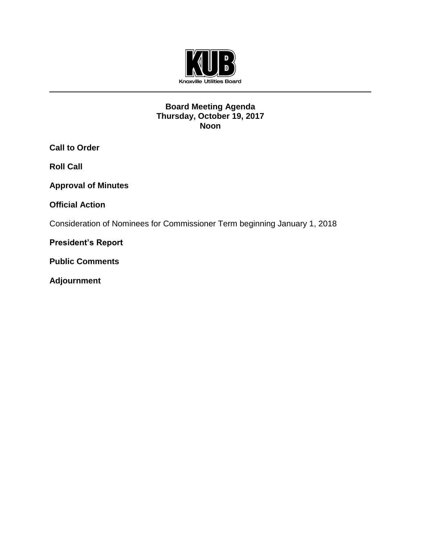

# **Board Meeting Agenda Thursday, October 19, 2017 Noon**

**Call to Order**

**Roll Call**

**Approval of Minutes**

**Official Action** 

Consideration of Nominees for Commissioner Term beginning January 1, 2018

**President's Report**

**Public Comments**

**Adjournment**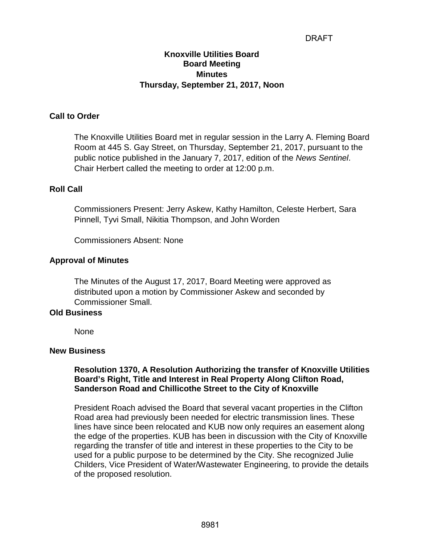# DRAFT

# **Knoxville Utilities Board Board Meeting Minutes Thursday, September 21, 2017, Noon**

## **Call to Order**

The Knoxville Utilities Board met in regular session in the Larry A. Fleming Board Room at 445 S. Gay Street, on Thursday, September 21, 2017, pursuant to the public notice published in the January 7, 2017, edition of the *News Sentinel*. Chair Herbert called the meeting to order at 12:00 p.m.

#### **Roll Call**

Commissioners Present: Jerry Askew, Kathy Hamilton, Celeste Herbert, Sara Pinnell, Tyvi Small, Nikitia Thompson, and John Worden

Commissioners Absent: None

#### **Approval of Minutes**

The Minutes of the August 17, 2017, Board Meeting were approved as distributed upon a motion by Commissioner Askew and seconded by Commissioner Small.

#### **Old Business**

None

#### **New Business**

#### **Resolution 1370, A Resolution Authorizing the transfer of Knoxville Utilities Board's Right, Title and Interest in Real Property Along Clifton Road, Sanderson Road and Chillicothe Street to the City of Knoxville**

President Roach advised the Board that several vacant properties in the Clifton Road area had previously been needed for electric transmission lines. These lines have since been relocated and KUB now only requires an easement along the edge of the properties. KUB has been in discussion with the City of Knoxville regarding the transfer of title and interest in these properties to the City to be used for a public purpose to be determined by the City. She recognized Julie Childers, Vice President of Water/Wastewater Engineering, to provide the details of the proposed resolution.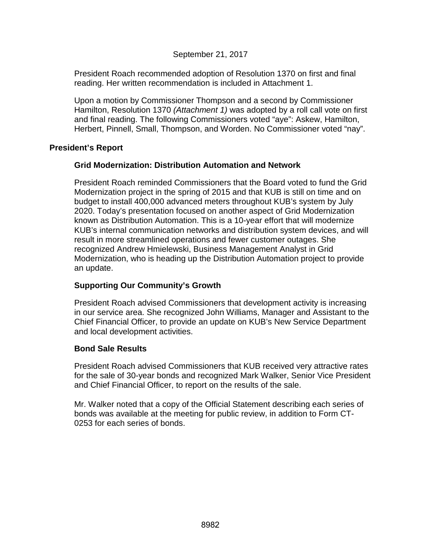# September 21, 2017

President Roach recommended adoption of Resolution 1370 on first and final reading. Her written recommendation is included in Attachment 1.

Upon a motion by Commissioner Thompson and a second by Commissioner Hamilton, Resolution 1370 *(Attachment 1)* was adopted by a roll call vote on first and final reading. The following Commissioners voted "aye": Askew, Hamilton, Herbert, Pinnell, Small, Thompson, and Worden. No Commissioner voted "nay".

# **President's Report**

#### **Grid Modernization: Distribution Automation and Network**

President Roach reminded Commissioners that the Board voted to fund the Grid Modernization project in the spring of 2015 and that KUB is still on time and on budget to install 400,000 advanced meters throughout KUB's system by July 2020. Today's presentation focused on another aspect of Grid Modernization known as Distribution Automation. This is a 10-year effort that will modernize KUB's internal communication networks and distribution system devices, and will result in more streamlined operations and fewer customer outages. She recognized Andrew Hmielewski, Business Management Analyst in Grid Modernization, who is heading up the Distribution Automation project to provide an update.

# **Supporting Our Community's Growth**

President Roach advised Commissioners that development activity is increasing in our service area. She recognized John Williams, Manager and Assistant to the Chief Financial Officer, to provide an update on KUB's New Service Department and local development activities.

# **Bond Sale Results**

President Roach advised Commissioners that KUB received very attractive rates for the sale of 30-year bonds and recognized Mark Walker, Senior Vice President and Chief Financial Officer, to report on the results of the sale.

Mr. Walker noted that a copy of the Official Statement describing each series of bonds was available at the meeting for public review, in addition to Form CT-0253 for each series of bonds.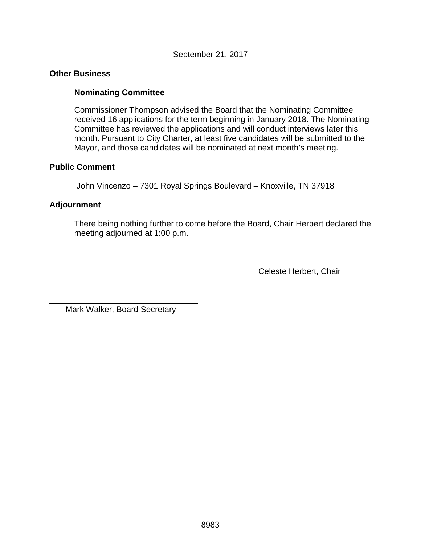# September 21, 2017

#### **Other Business**

## **Nominating Committee**

Commissioner Thompson advised the Board that the Nominating Committee received 16 applications for the term beginning in January 2018. The Nominating Committee has reviewed the applications and will conduct interviews later this month. Pursuant to City Charter, at least five candidates will be submitted to the Mayor, and those candidates will be nominated at next month's meeting.

## **Public Comment**

John Vincenzo – 7301 Royal Springs Boulevard – Knoxville, TN 37918

# **Adjournment**

 $\overline{a}$ 

There being nothing further to come before the Board, Chair Herbert declared the meeting adjourned at 1:00 p.m.

Celeste Herbert, Chair

Mark Walker, Board Secretary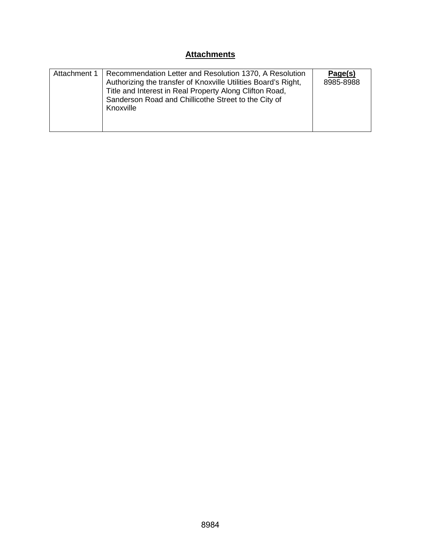# **Attachments**

| Attachment 1 | Recommendation Letter and Resolution 1370, A Resolution<br>Authorizing the transfer of Knoxville Utilities Board's Right,<br>Title and Interest in Real Property Along Clifton Road,<br>Sanderson Road and Chillicothe Street to the City of<br>Knoxville | Page(s)<br>8985-8988 |
|--------------|-----------------------------------------------------------------------------------------------------------------------------------------------------------------------------------------------------------------------------------------------------------|----------------------|
|--------------|-----------------------------------------------------------------------------------------------------------------------------------------------------------------------------------------------------------------------------------------------------------|----------------------|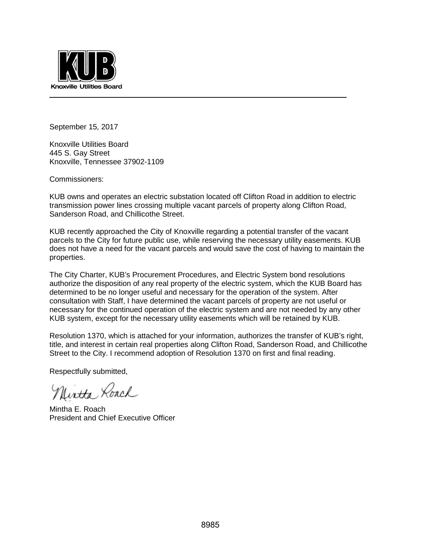

September 15, 2017

Knoxville Utilities Board 445 S. Gay Street Knoxville, Tennessee 37902-1109

Commissioners:

KUB owns and operates an electric substation located off Clifton Road in addition to electric transmission power lines crossing multiple vacant parcels of property along Clifton Road, Sanderson Road, and Chillicothe Street.

KUB recently approached the City of Knoxville regarding a potential transfer of the vacant parcels to the City for future public use, while reserving the necessary utility easements. KUB does not have a need for the vacant parcels and would save the cost of having to maintain the properties.

The City Charter, KUB's Procurement Procedures, and Electric System bond resolutions authorize the disposition of any real property of the electric system, which the KUB Board has determined to be no longer useful and necessary for the operation of the system. After consultation with Staff, I have determined the vacant parcels of property are not useful or necessary for the continued operation of the electric system and are not needed by any other KUB system, except for the necessary utility easements which will be retained by KUB.

Resolution 1370, which is attached for your information, authorizes the transfer of KUB's right, title, and interest in certain real properties along Clifton Road, Sanderson Road, and Chillicothe Street to the City. I recommend adoption of Resolution 1370 on first and final reading.

Respectfully submitted,

Nintha Roach

Mintha E. Roach President and Chief Executive Officer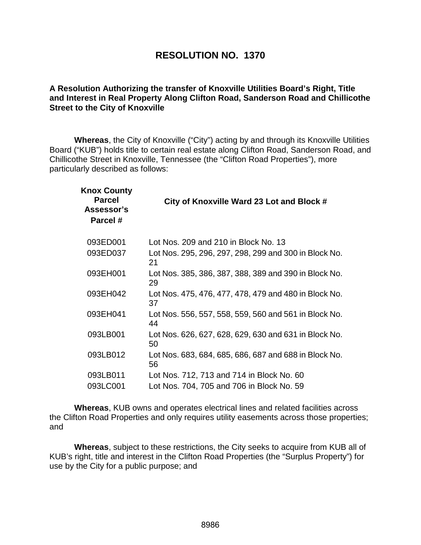# **RESOLUTION NO. 1370**

# **A Resolution Authorizing the transfer of Knoxville Utilities Board's Right, Title and Interest in Real Property Along Clifton Road, Sanderson Road and Chillicothe Street to the City of Knoxville**

**Whereas**, the City of Knoxville ("City") acting by and through its Knoxville Utilities Board ("KUB") holds title to certain real estate along Clifton Road, Sanderson Road, and Chillicothe Street in Knoxville, Tennessee (the "Clifton Road Properties"), more particularly described as follows:

| City of Knoxville Ward 23 Lot and Block #                   |
|-------------------------------------------------------------|
| Lot Nos. 209 and 210 in Block No. 13                        |
| Lot Nos. 295, 296, 297, 298, 299 and 300 in Block No.<br>21 |
| Lot Nos. 385, 386, 387, 388, 389 and 390 in Block No.<br>29 |
| Lot Nos. 475, 476, 477, 478, 479 and 480 in Block No.<br>37 |
| Lot Nos. 556, 557, 558, 559, 560 and 561 in Block No.<br>44 |
| Lot Nos. 626, 627, 628, 629, 630 and 631 in Block No.<br>50 |
| Lot Nos. 683, 684, 685, 686, 687 and 688 in Block No.<br>56 |
| Lot Nos. 712, 713 and 714 in Block No. 60                   |
| Lot Nos. 704, 705 and 706 in Block No. 59                   |
|                                                             |

**Whereas**, KUB owns and operates electrical lines and related facilities across the Clifton Road Properties and only requires utility easements across those properties; and

**Whereas**, subject to these restrictions, the City seeks to acquire from KUB all of KUB's right, title and interest in the Clifton Road Properties (the "Surplus Property") for use by the City for a public purpose; and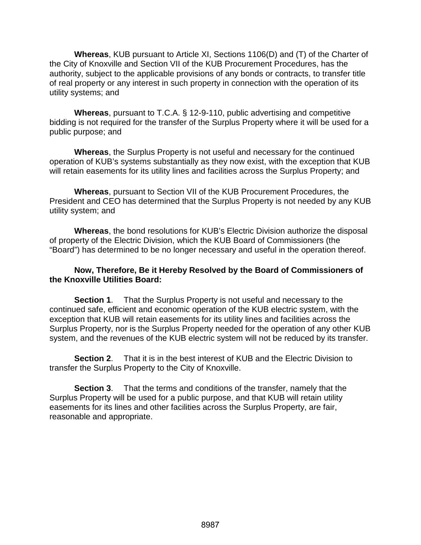**Whereas**, KUB pursuant to Article XI, Sections 1106(D) and (T) of the Charter of the City of Knoxville and Section VII of the KUB Procurement Procedures, has the authority, subject to the applicable provisions of any bonds or contracts, to transfer title of real property or any interest in such property in connection with the operation of its utility systems; and

**Whereas**, pursuant to T.C.A. § 12-9-110, public advertising and competitive bidding is not required for the transfer of the Surplus Property where it will be used for a public purpose; and

**Whereas**, the Surplus Property is not useful and necessary for the continued operation of KUB's systems substantially as they now exist, with the exception that KUB will retain easements for its utility lines and facilities across the Surplus Property; and

**Whereas**, pursuant to Section VII of the KUB Procurement Procedures, the President and CEO has determined that the Surplus Property is not needed by any KUB utility system; and

**Whereas**, the bond resolutions for KUB's Electric Division authorize the disposal of property of the Electric Division, which the KUB Board of Commissioners (the "Board") has determined to be no longer necessary and useful in the operation thereof.

# **Now, Therefore, Be it Hereby Resolved by the Board of Commissioners of the Knoxville Utilities Board:**

**Section 1**. That the Surplus Property is not useful and necessary to the continued safe, efficient and economic operation of the KUB electric system, with the exception that KUB will retain easements for its utility lines and facilities across the Surplus Property, nor is the Surplus Property needed for the operation of any other KUB system, and the revenues of the KUB electric system will not be reduced by its transfer.

**Section 2**. That it is in the best interest of KUB and the Electric Division to transfer the Surplus Property to the City of Knoxville.

**Section 3**. That the terms and conditions of the transfer, namely that the Surplus Property will be used for a public purpose, and that KUB will retain utility easements for its lines and other facilities across the Surplus Property, are fair, reasonable and appropriate.